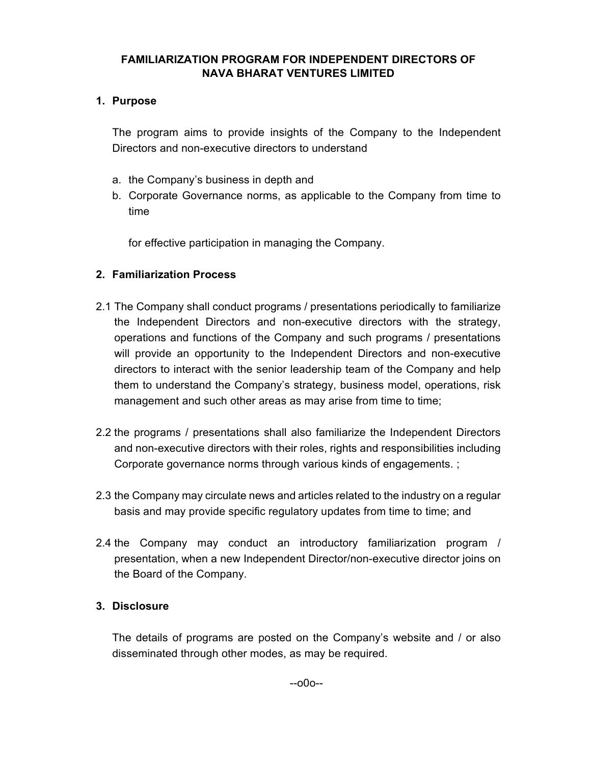## **FAMILIARIZATION PROGRAM FOR INDEPENDENT DIRECTORS OF NAVA BHARAT VENTURES LIMITED**

## **1. Purpose**

The program aims to provide insights of the Company to the Independent Directors and non-executive directors to understand

- a. the Company's business in depth and
- b. Corporate Governance norms, as applicable to the Company from time to time

for effective participation in managing the Company.

# **2. Familiarization Process**

- 2.1 The Company shall conduct programs / presentations periodically to familiarize the Independent Directors and non-executive directors with the strategy, operations and functions of the Company and such programs / presentations will provide an opportunity to the Independent Directors and non-executive directors to interact with the senior leadership team of the Company and help them to understand the Company's strategy, business model, operations, risk management and such other areas as may arise from time to time;
- 2.2 the programs / presentations shall also familiarize the Independent Directors and non-executive directors with their roles, rights and responsibilities including Corporate governance norms through various kinds of engagements. ;
- 2.3 the Company may circulate news and articles related to the industry on a regular basis and may provide specific regulatory updates from time to time; and
- 2.4 the Company may conduct an introductory familiarization program / presentation, when a new Independent Director/non-executive director joins on the Board of the Company.

# **3. Disclosure**

The details of programs are posted on the Company's website and / or also disseminated through other modes, as may be required.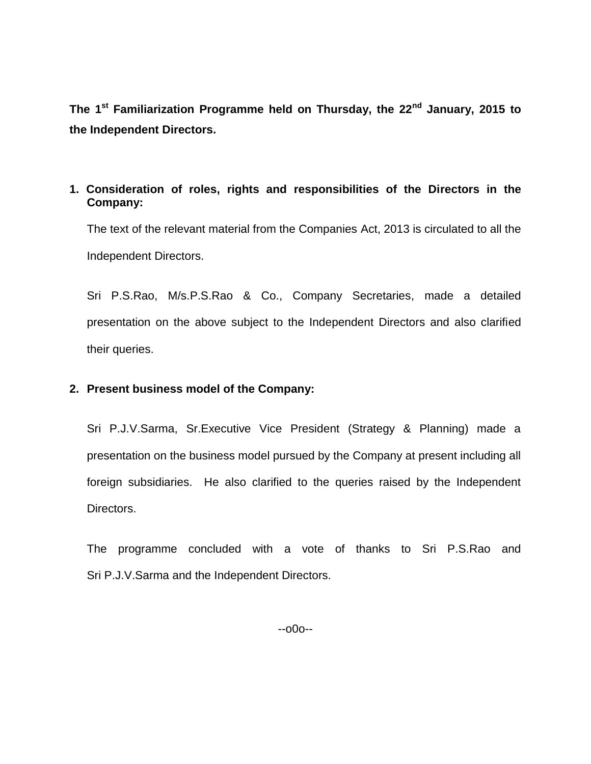**The 1 st Familiarization Programme held on Thursday, the 22nd January, 2015 to the Independent Directors.**

#### **1. Consideration of roles, rights and responsibilities of the Directors in the Company:**

The text of the relevant material from the Companies Act, 2013 is circulated to all the Independent Directors.

Sri P.S.Rao, M/s.P.S.Rao & Co., Company Secretaries, made a detailed presentation on the above subject to the Independent Directors and also clarified their queries.

#### **2. Present business model of the Company:**

Sri P.J.V.Sarma, Sr.Executive Vice President (Strategy & Planning) made a presentation on the business model pursued by the Company at present including all foreign subsidiaries. He also clarified to the queries raised by the Independent Directors.

The programme concluded with a vote of thanks to Sri P.S.Rao and Sri P.J.V.Sarma and the Independent Directors.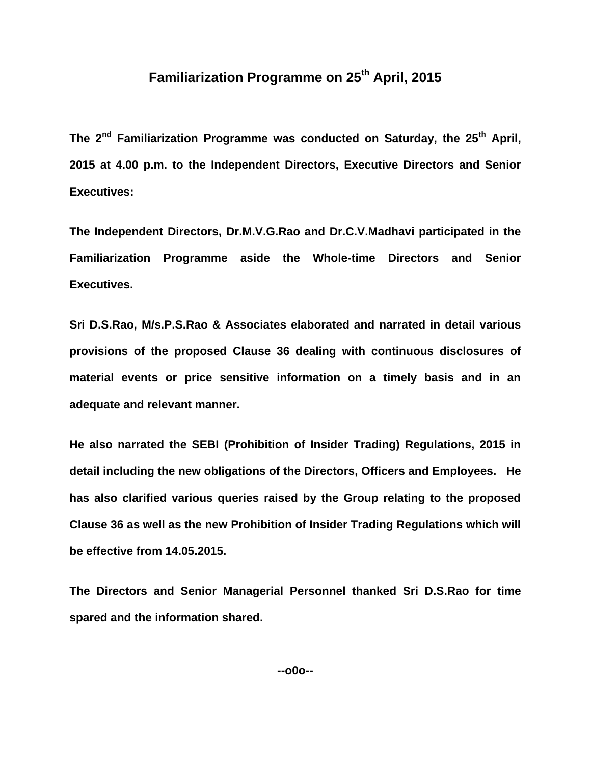# **Familiarization Programme on 25th April, 2015**

**The 2nd Familiarization Programme was conducted on Saturday, the 25th April, 2015 at 4.00 p.m. to the Independent Directors, Executive Directors and Senior Executives:**

**The Independent Directors, Dr.M.V.G.Rao and Dr.C.V.Madhavi participated in the Familiarization Programme aside the Whole-time Directors and Senior Executives.**

**Sri D.S.Rao, M/s.P.S.Rao & Associates elaborated and narrated in detail various provisions of the proposed Clause 36 dealing with continuous disclosures of material events or price sensitive information on a timely basis and in an adequate and relevant manner.**

**He also narrated the SEBI (Prohibition of Insider Trading) Regulations, 2015 in detail including the new obligations of the Directors, Officers and Employees. He has also clarified various queries raised by the Group relating to the proposed Clause 36 as well as the new Prohibition of Insider Trading Regulations which will be effective from 14.05.2015.**

**The Directors and Senior Managerial Personnel thanked Sri D.S.Rao for time spared and the information shared.**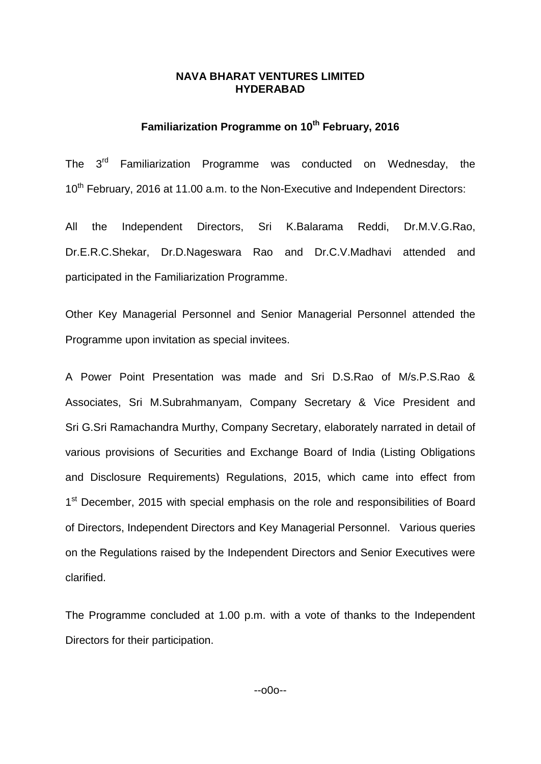# **Familiarization Programme on 10th February, 2016**

The 3<sup>rd</sup> Familiarization Programme was conducted on Wednesday, the 10<sup>th</sup> February, 2016 at 11.00 a.m. to the Non-Executive and Independent Directors:

All the Independent Directors, Sri K.Balarama Reddi, Dr.M.V.G.Rao, Dr.E.R.C.Shekar, Dr.D.Nageswara Rao and Dr.C.V.Madhavi attended and participated in the Familiarization Programme.

Other Key Managerial Personnel and Senior Managerial Personnel attended the Programme upon invitation as special invitees.

A Power Point Presentation was made and Sri D.S.Rao of M/s.P.S.Rao & Associates, Sri M.Subrahmanyam, Company Secretary & Vice President and Sri G.Sri Ramachandra Murthy, Company Secretary, elaborately narrated in detail of various provisions of Securities and Exchange Board of India (Listing Obligations and Disclosure Requirements) Regulations, 2015, which came into effect from 1<sup>st</sup> December, 2015 with special emphasis on the role and responsibilities of Board of Directors, Independent Directors and Key Managerial Personnel. Various queries on the Regulations raised by the Independent Directors and Senior Executives were clarified.

The Programme concluded at 1.00 p.m. with a vote of thanks to the Independent Directors for their participation.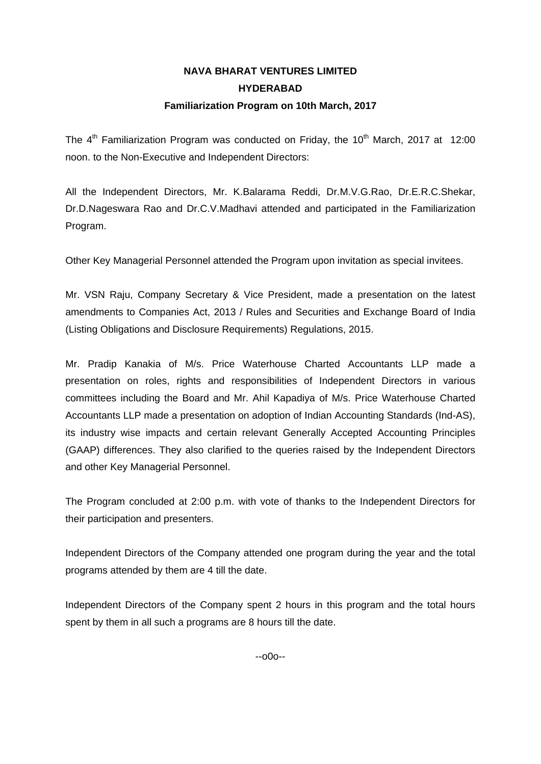# **NAVA BHARAT VENTURES LIMITED HYDERABAD Familiarization Program on 10th March, 2017**

The  $4<sup>th</sup>$  Familiarization Program was conducted on Friday, the 10<sup>th</sup> March, 2017 at 12:00 noon. to the Non-Executive and Independent Directors:

All the Independent Directors, Mr. K.Balarama Reddi, Dr.M.V.G.Rao, Dr.E.R.C.Shekar, Dr.D.Nageswara Rao and Dr.C.V.Madhavi attended and participated in the Familiarization Program.

Other Key Managerial Personnel attended the Program upon invitation as special invitees.

Mr. VSN Raju, Company Secretary & Vice President, made a presentation on the latest amendments to Companies Act, 2013 / Rules and Securities and Exchange Board of India (Listing Obligations and Disclosure Requirements) Regulations, 2015.

Mr. Pradip Kanakia of M/s. Price Waterhouse Charted Accountants LLP made a presentation on roles, rights and responsibilities of Independent Directors in various committees including the Board and Mr. Ahil Kapadiya of M/s. Price Waterhouse Charted Accountants LLP made a presentation on adoption of Indian Accounting Standards (Ind-AS), its industry wise impacts and certain relevant Generally Accepted Accounting Principles (GAAP) differences. They also clarified to the queries raised by the Independent Directors and other Key Managerial Personnel.

The Program concluded at 2:00 p.m. with vote of thanks to the Independent Directors for their participation and presenters.

Independent Directors of the Company attended one program during the year and the total programs attended by them are 4 till the date.

Independent Directors of the Company spent 2 hours in this program and the total hours spent by them in all such a programs are 8 hours till the date.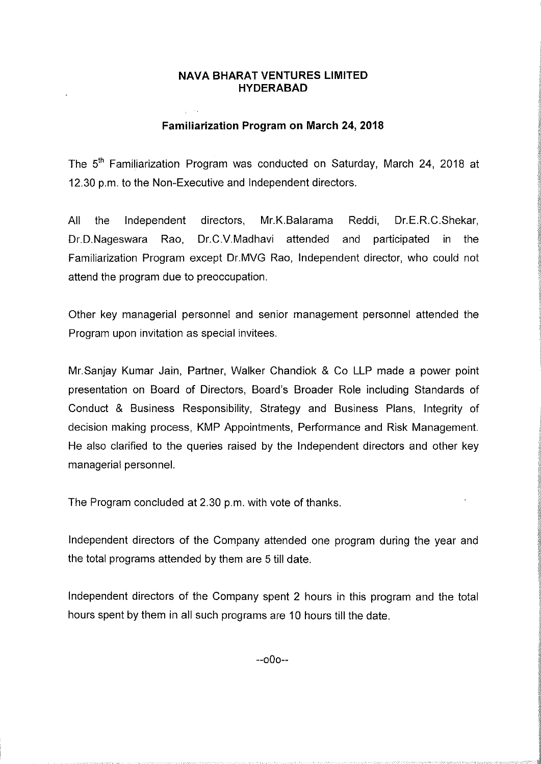#### **Familiarization Program on March 24, 2018**

The 5<sup>th</sup> Familiarization Program was conducted on Saturday, March 24, 2018 at 12.30 p.m. to the Non-Executive and Independent directors.

All Mr.K.Balarama the Independent directors. Reddi. Dr.E.R.C.Shekar, Dr.D.Nageswara Rao, Dr.C.V.Madhavi attended and participated in the Familiarization Program except Dr.MVG Rao, Independent director, who could not attend the program due to preoccupation.

Other key managerial personnel and senior management personnel attended the Program upon invitation as special invitees.

Mr. Sanjay Kumar Jain, Partner, Walker Chandiok & Co LLP made a power point presentation on Board of Directors, Board's Broader Role including Standards of Conduct & Business Responsibility, Strategy and Business Plans, Integrity of decision making process, KMP Appointments, Performance and Risk Management. He also clarified to the queries raised by the Independent directors and other key managerial personnel.

The Program concluded at 2.30 p.m. with vote of thanks.

Independent directors of the Company attended one program during the year and the total programs attended by them are 5 till date.

Independent directors of the Company spent 2 hours in this program and the total hours spent by them in all such programs are 10 hours till the date.

 $-000-$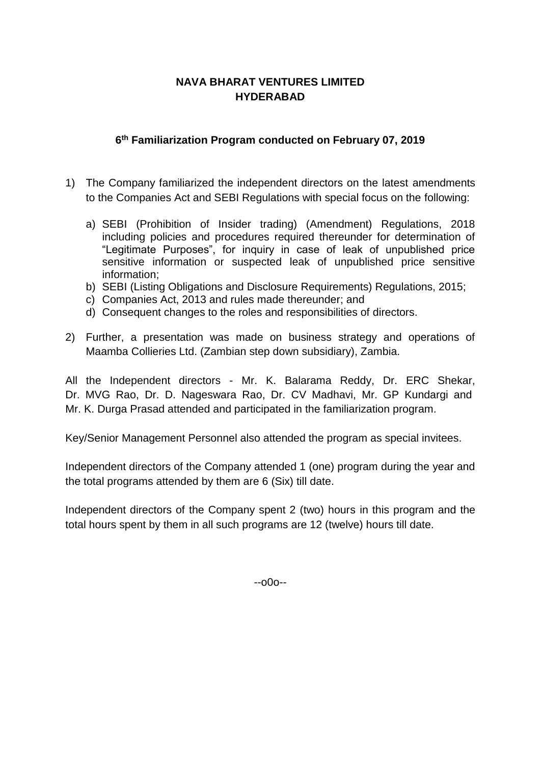# **6 th Familiarization Program conducted on February 07, 2019**

- 1) The Company familiarized the independent directors on the latest amendments to the Companies Act and SEBI Regulations with special focus on the following:
	- a) SEBI (Prohibition of Insider trading) (Amendment) Regulations, 2018 including policies and procedures required thereunder for determination of "Legitimate Purposes", for inquiry in case of leak of unpublished price sensitive information or suspected leak of unpublished price sensitive information;
	- b) SEBI (Listing Obligations and Disclosure Requirements) Regulations, 2015;
	- c) Companies Act, 2013 and rules made thereunder; and
	- d) Consequent changes to the roles and responsibilities of directors.
- 2) Further, a presentation was made on business strategy and operations of Maamba Collieries Ltd. (Zambian step down subsidiary), Zambia.

All the Independent directors - Mr. K. Balarama Reddy, Dr. ERC Shekar, Dr. MVG Rao, Dr. D. Nageswara Rao, Dr. CV Madhavi, Mr. GP Kundargi and Mr. K. Durga Prasad attended and participated in the familiarization program.

Key/Senior Management Personnel also attended the program as special invitees.

Independent directors of the Company attended 1 (one) program during the year and the total programs attended by them are 6 (Six) till date.

Independent directors of the Company spent 2 (two) hours in this program and the total hours spent by them in all such programs are 12 (twelve) hours till date.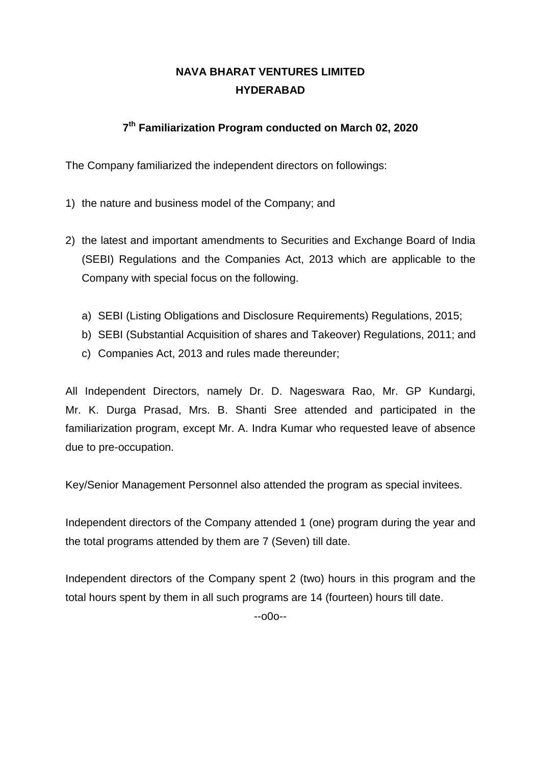# **7th Familiarization Program conducted on March 02, 2020**

The Company familiarized the independent directors on followings:

- 1) the nature and business model of the Company; and
- 2) the latest and important amendments to Securities and Exchange Board of India (SEBI) Regulations and the Companies Act, 2013 which are applicable to the Company with special focus on the following.
	- a) SEBI (Listing Obligations and Disclosure Requirements) Regulations, 2015;
	- b) SEBI (Substantial Acquisition of shares and Takeover) Regulations, 2011; and
	- c) Companies Act, 2013 and rules made thereunder;

All Independent Directors, namely Dr. D. Nageswara Rao, Mr. GP Kundargi, Mr. K. Durga Prasad, Mrs. B. Shanti Sree attended and participated in the familiarization program, except Mr. A. Indra Kumar who requested leave of absence due to pre-occupation.

Key/Senior Management Personnel also attended the program as special invitees.

Independent directors of the Company attended 1 (one) program during the year and the total programs attended by them are 7 (Seven) till date.

Independent directors of the Company spent 2 (two) hours in this program and the total hours spent by them in all such programs are 14 (fourteen) hours till date.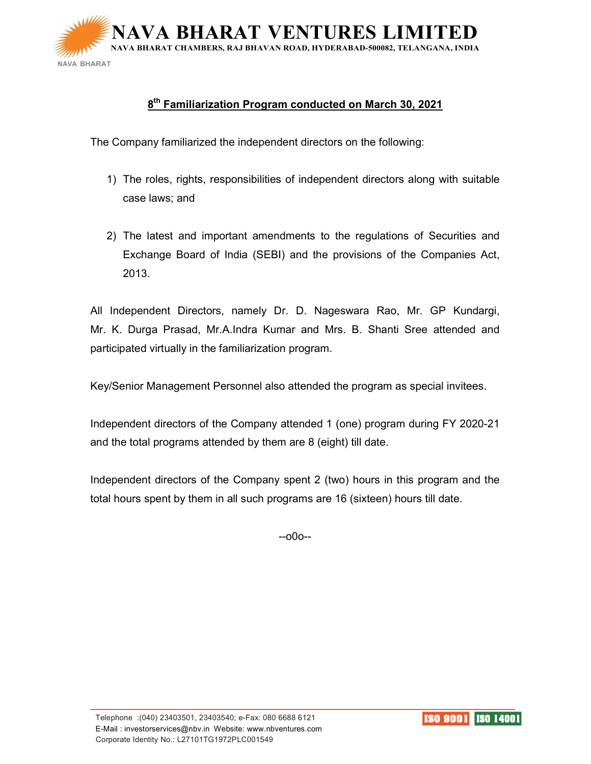

## $8^{\sf th}$  Familiarization Program conducted on March 30, 2021

The Company familiarized the independent directors on the following:

- 1) The roles, rights, responsibilities of independent directors along with suitable case laws; and
- 2) The latest and important amendments to the regulations of Securities and Exchange Board of India (SEBI) and the provisions of the Companies Act, 2013.

All Independent Directors, namely Dr. D. Nageswara Rao, Mr. GP Kundargi, Mr. K. Durga Prasad, Mr.A.Indra Kumar and Mrs. B. Shanti Sree attended and participated virtually in the familiarization program.

Key/Senior Management Personnel also attended the program as special invitees.

Independent directors of the Company attended 1 (one) program during FY 2020-21 and the total programs attended by them are 8 (eight) till date.

Independent directors of the Company spent 2 (two) hours in this program and the total hours spent by them in all such programs are 16 (sixteen) hours till date.

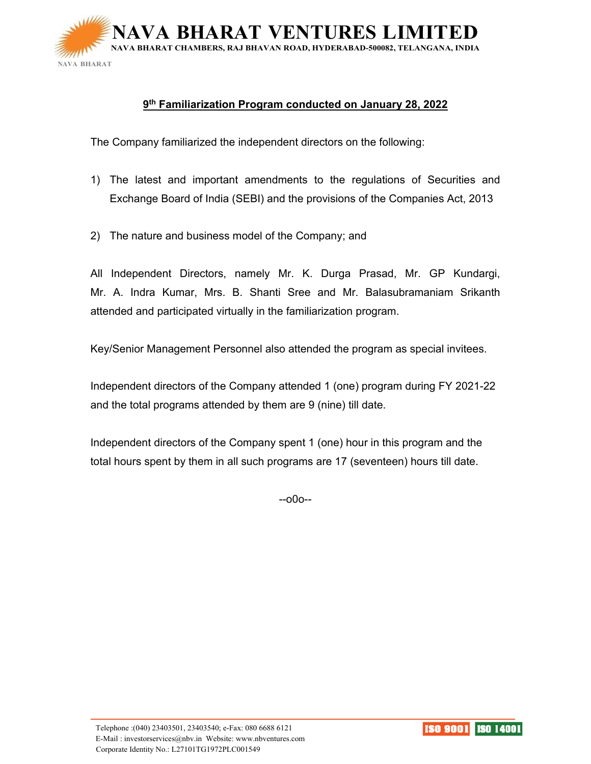

#### **9th Familiarization Program conducted on January 28, 2022**

The Company familiarized the independent directors on the following:

- 1) The latest and important amendments to the regulations of Securities and Exchange Board of India (SEBI) and the provisions of the Companies Act, 2013
- 2) The nature and business model of the Company; and

All Independent Directors, namely Mr. K. Durga Prasad, Mr. GP Kundargi, Mr. A. Indra Kumar, Mrs. B. Shanti Sree and Mr. Balasubramaniam Srikanth attended and participated virtually in the familiarization program.

Key/Senior Management Personnel also attended the program as special invitees.

Independent directors of the Company attended 1 (one) program during FY 2021-22 and the total programs attended by them are 9 (nine) till date.

Independent directors of the Company spent 1 (one) hour in this program and the total hours spent by them in all such programs are 17 (seventeen) hours till date.